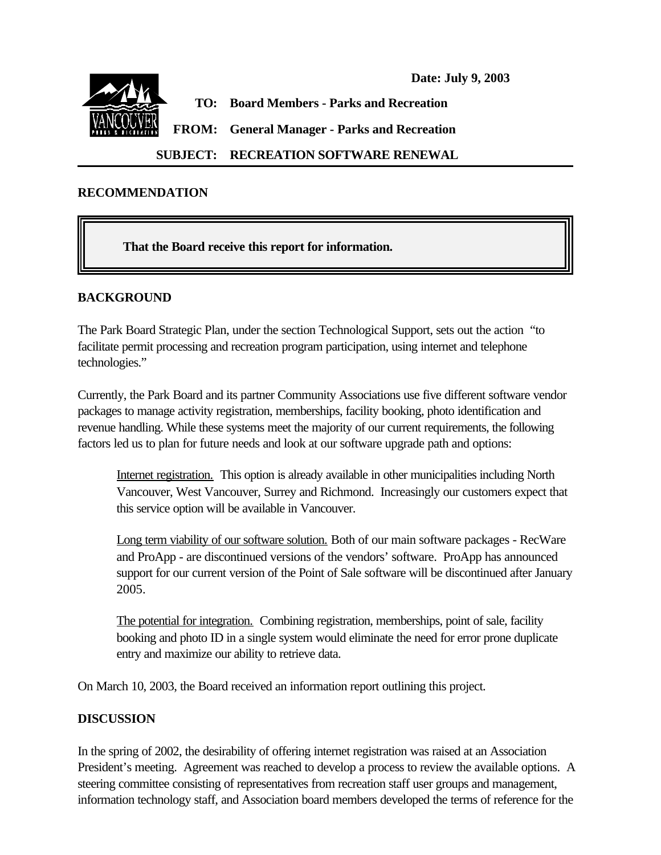

# **SUBJECT: RECREATION SOFTWARE RENEWAL**

#### **RECOMMENDATION**

**That the Board receive this report for information.**

#### **BACKGROUND**

The Park Board Strategic Plan, under the section Technological Support, sets out the action "to facilitate permit processing and recreation program participation, using internet and telephone technologies."

Currently, the Park Board and its partner Community Associations use five different software vendor packages to manage activity registration, memberships, facility booking, photo identification and revenue handling. While these systems meet the majority of our current requirements, the following factors led us to plan for future needs and look at our software upgrade path and options:

Internet registration. This option is already available in other municipalities including North Vancouver, West Vancouver, Surrey and Richmond. Increasingly our customers expect that this service option will be available in Vancouver.

Long term viability of our software solution. Both of our main software packages - RecWare and ProApp - are discontinued versions of the vendors' software. ProApp has announced support for our current version of the Point of Sale software will be discontinued after January 2005.

The potential for integration. Combining registration, memberships, point of sale, facility booking and photo ID in a single system would eliminate the need for error prone duplicate entry and maximize our ability to retrieve data.

On March 10, 2003, the Board received an information report outlining this project.

#### **DISCUSSION**

In the spring of 2002, the desirability of offering internet registration was raised at an Association President's meeting. Agreement was reached to develop a process to review the available options. A steering committee consisting of representatives from recreation staff user groups and management, information technology staff, and Association board members developed the terms of reference for the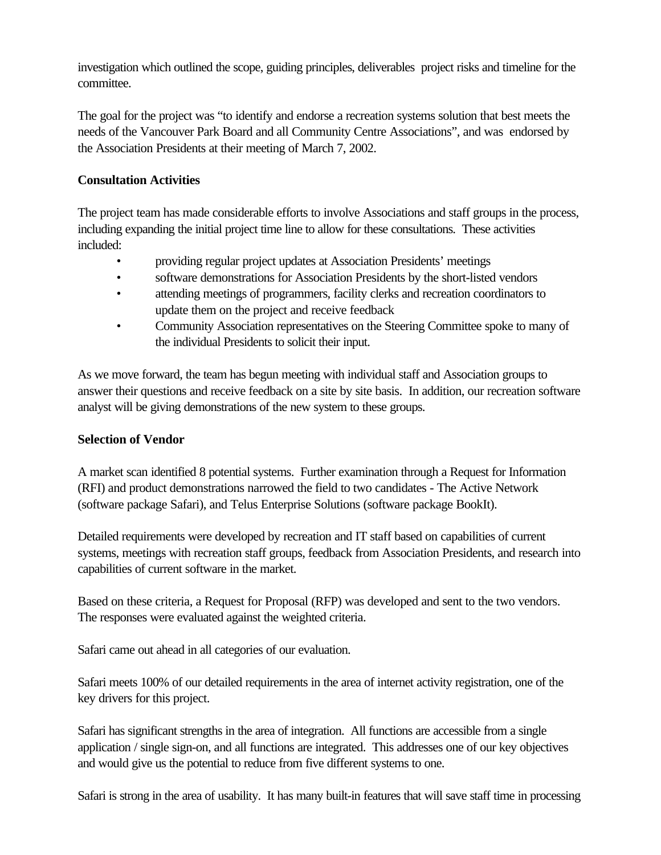investigation which outlined the scope, guiding principles, deliverables project risks and timeline for the committee.

The goal for the project was "to identify and endorse a recreation systems solution that best meets the needs of the Vancouver Park Board and all Community Centre Associations", and was endorsed by the Association Presidents at their meeting of March 7, 2002.

## **Consultation Activities**

The project team has made considerable efforts to involve Associations and staff groups in the process, including expanding the initial project time line to allow for these consultations. These activities included:

- providing regular project updates at Association Presidents' meetings
- software demonstrations for Association Presidents by the short-listed vendors
- attending meetings of programmers, facility clerks and recreation coordinators to update them on the project and receive feedback
- Community Association representatives on the Steering Committee spoke to many of the individual Presidents to solicit their input.

As we move forward, the team has begun meeting with individual staff and Association groups to answer their questions and receive feedback on a site by site basis. In addition, our recreation software analyst will be giving demonstrations of the new system to these groups.

## **Selection of Vendor**

A market scan identified 8 potential systems. Further examination through a Request for Information (RFI) and product demonstrations narrowed the field to two candidates - The Active Network (software package Safari), and Telus Enterprise Solutions (software package BookIt).

Detailed requirements were developed by recreation and IT staff based on capabilities of current systems, meetings with recreation staff groups, feedback from Association Presidents, and research into capabilities of current software in the market.

Based on these criteria, a Request for Proposal (RFP) was developed and sent to the two vendors. The responses were evaluated against the weighted criteria.

Safari came out ahead in all categories of our evaluation.

Safari meets 100% of our detailed requirements in the area of internet activity registration, one of the key drivers for this project.

Safari has significant strengths in the area of integration. All functions are accessible from a single application / single sign-on, and all functions are integrated. This addresses one of our key objectives and would give us the potential to reduce from five different systems to one.

Safari is strong in the area of usability. It has many built-in features that will save staff time in processing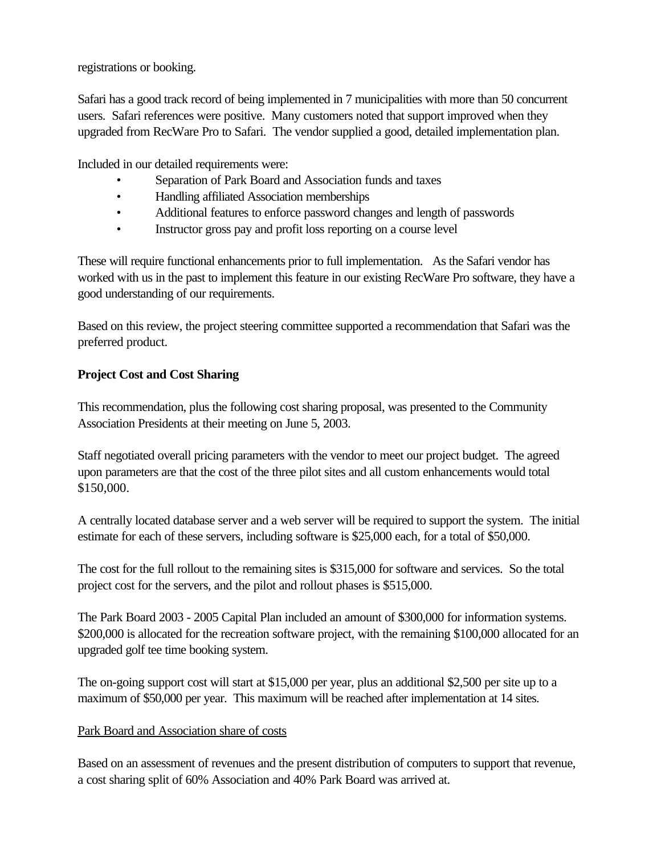registrations or booking.

Safari has a good track record of being implemented in 7 municipalities with more than 50 concurrent users. Safari references were positive. Many customers noted that support improved when they upgraded from RecWare Pro to Safari. The vendor supplied a good, detailed implementation plan.

Included in our detailed requirements were:

- Separation of Park Board and Association funds and taxes
- Handling affiliated Association memberships
- Additional features to enforce password changes and length of passwords
- Instructor gross pay and profit loss reporting on a course level

These will require functional enhancements prior to full implementation. As the Safari vendor has worked with us in the past to implement this feature in our existing RecWare Pro software, they have a good understanding of our requirements.

Based on this review, the project steering committee supported a recommendation that Safari was the preferred product.

## **Project Cost and Cost Sharing**

This recommendation, plus the following cost sharing proposal, was presented to the Community Association Presidents at their meeting on June 5, 2003.

Staff negotiated overall pricing parameters with the vendor to meet our project budget. The agreed upon parameters are that the cost of the three pilot sites and all custom enhancements would total \$150,000.

A centrally located database server and a web server will be required to support the system. The initial estimate for each of these servers, including software is \$25,000 each, for a total of \$50,000.

The cost for the full rollout to the remaining sites is \$315,000 for software and services. So the total project cost for the servers, and the pilot and rollout phases is \$515,000.

The Park Board 2003 - 2005 Capital Plan included an amount of \$300,000 for information systems. \$200,000 is allocated for the recreation software project, with the remaining \$100,000 allocated for an upgraded golf tee time booking system.

The on-going support cost will start at \$15,000 per year, plus an additional \$2,500 per site up to a maximum of \$50,000 per year. This maximum will be reached after implementation at 14 sites.

## Park Board and Association share of costs

Based on an assessment of revenues and the present distribution of computers to support that revenue, a cost sharing split of 60% Association and 40% Park Board was arrived at.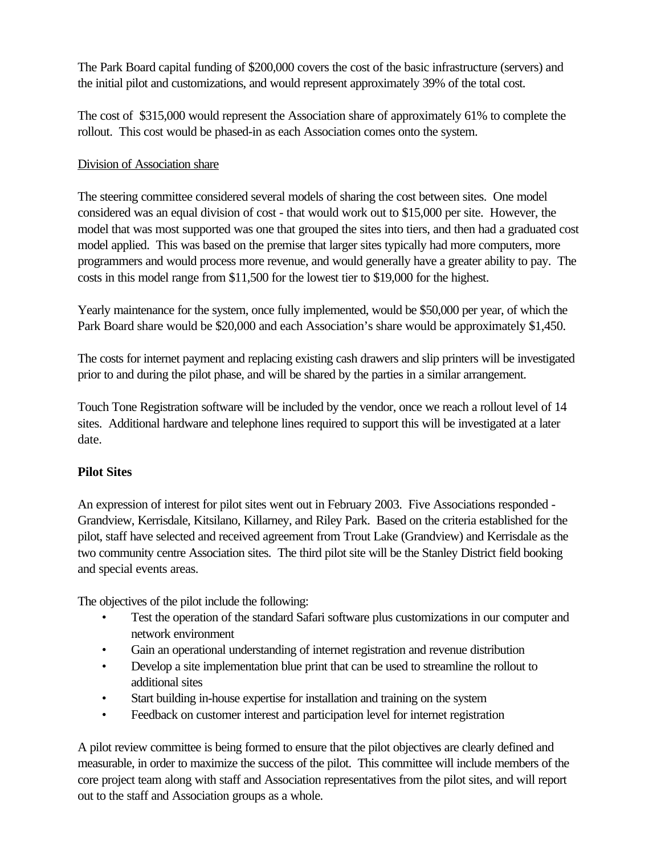The Park Board capital funding of \$200,000 covers the cost of the basic infrastructure (servers) and the initial pilot and customizations, and would represent approximately 39% of the total cost.

The cost of \$315,000 would represent the Association share of approximately 61% to complete the rollout. This cost would be phased-in as each Association comes onto the system.

## Division of Association share

The steering committee considered several models of sharing the cost between sites. One model considered was an equal division of cost - that would work out to \$15,000 per site. However, the model that was most supported was one that grouped the sites into tiers, and then had a graduated cost model applied. This was based on the premise that larger sites typically had more computers, more programmers and would process more revenue, and would generally have a greater ability to pay. The costs in this model range from \$11,500 for the lowest tier to \$19,000 for the highest.

Yearly maintenance for the system, once fully implemented, would be \$50,000 per year, of which the Park Board share would be \$20,000 and each Association's share would be approximately \$1,450.

The costs for internet payment and replacing existing cash drawers and slip printers will be investigated prior to and during the pilot phase, and will be shared by the parties in a similar arrangement.

Touch Tone Registration software will be included by the vendor, once we reach a rollout level of 14 sites. Additional hardware and telephone lines required to support this will be investigated at a later date.

# **Pilot Sites**

An expression of interest for pilot sites went out in February 2003. Five Associations responded - Grandview, Kerrisdale, Kitsilano, Killarney, and Riley Park. Based on the criteria established for the pilot, staff have selected and received agreement from Trout Lake (Grandview) and Kerrisdale as the two community centre Association sites. The third pilot site will be the Stanley District field booking and special events areas.

The objectives of the pilot include the following:

- Test the operation of the standard Safari software plus customizations in our computer and network environment
- Gain an operational understanding of internet registration and revenue distribution
- Develop a site implementation blue print that can be used to streamline the rollout to additional sites
- Start building in-house expertise for installation and training on the system
- Feedback on customer interest and participation level for internet registration

A pilot review committee is being formed to ensure that the pilot objectives are clearly defined and measurable, in order to maximize the success of the pilot. This committee will include members of the core project team along with staff and Association representatives from the pilot sites, and will report out to the staff and Association groups as a whole.